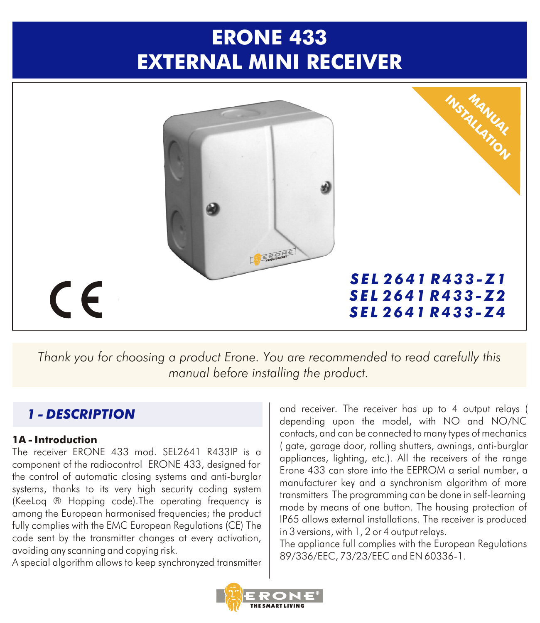# **ERONE 433 EXTERNAL MINI RECEIVER**



*Thank you for choosing a product Erone. You are recommended to read carefully this manual before installing the product.*

## *1 - DESCRIPTION*

#### **1A - Introduction**

The receiver ERONE 433 mod. SEL2641 R433IP is a component of the radiocontrol ERONE 433, designed for the control of automatic closing systems and anti-burglar systems, thanks to its very high security coding system (KeeLoq ® Hopping code).The operating frequency is among the European harmonised frequencies; the product fully complies with the EMC European Regulations (CE) The code sent by the transmitter changes at every activation, avoiding any scanning and copying risk.

A special algorithm allows to keep synchronyzed transmitter

and receiver. The receiver has up to 4 output relays ( depending upon the model, with NO and NO/NC contacts, and can be connected to many types of mechanics ( gate, garage door, rolling shutters, awnings, anti-burglar appliances, lighting, etc.). All the receivers of the range Erone 433 can store into the EEPROM a serial number, a manufacturer key and a synchronism algorithm of more transmitters The programming can be done in self-learning mode by means of one button. The housing protection of IP65 allows external installations. The receiver is produced in 3 versions, with 1, 2 or 4 output relays.

The appliance full complies with the European Regulations 89/336/EEC, 73/23/EEC and EN 60336-1.

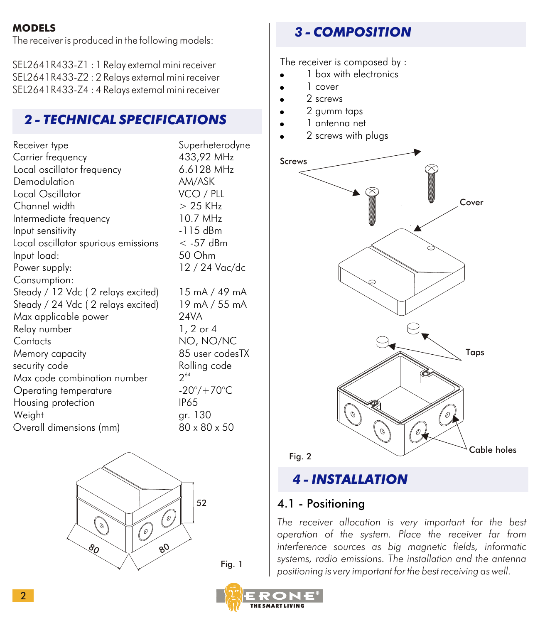#### **MODELS**

The receiver is produced in the following models:

SEL2641R433-Z1 : 1 Relay external mini receiver SEL2641R433-Z2 : 2 Relays external mini receiver SEL2641R433-Z4 : 4 Relays external mini receiver

## *2 - TECHNICAL SPECIFICATIONS*

| Receiver type                       | Superheterodyne             |
|-------------------------------------|-----------------------------|
| Carrier frequency                   | 433,92 MHz                  |
| Local oscillator frequency          | 6.6128 MHz                  |
| Demodulation                        | AM/ASK                      |
| Local Oscillator                    | VCO / PLL                   |
| Channel width                       | $> 25$ KHz                  |
| Intermediate frequency              | 10.7 MHz                    |
| Input sensitivity                   | -115 dBm                    |
| Local oscillator spurious emissions | $<$ -57 dBm                 |
| Input load:                         | 50 Ohm                      |
| Power supply:                       | 12 / 24 Vac/dc              |
| Consumption:                        |                             |
| Steady / 12 Vdc (2 relays excited)  | 15 mA / 49 mA               |
| Steady / 24 Vdc (2 relays excited)  | 19 mA / 55 mA               |
| Max applicable power                | <b>24VA</b>                 |
| Relay number                        | $1, 2$ or $4$               |
| Contacts                            | NO, NO/NC                   |
| Memory capacity                     | 85 user codesTX             |
| security code                       | Rolling code                |
| Max code combination number         | $2^{64}$                    |
| Operating temperature               | $-20^{\circ}/+70^{\circ}$ C |
| Housing protection                  | <b>IP65</b>                 |
| Weight                              | ar. 130                     |
| Overall dimensions (mm)             | 80 x 80 x 50                |



*3 - COMPOSITION*

The receiver is composed by :

- 1 box with electronics
- ! 1 cover
- 2 screws
- ! 2 gumm taps
- ! 1 antenna net
- 2 screws with plugs



## *4 - INSTALLATION*

#### 4.1 - Positioning

*The receiver allocation is very important for the best operation of the system. Place the receiver far from interference sources as big magnetic fields, informatic systems, radio emissions. The installation and the antenna positioning is very important for the best receiving as well.*

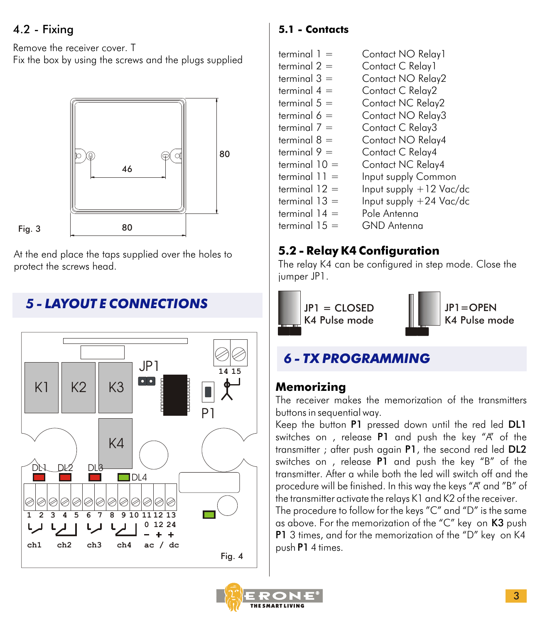## 4.2 - Fixing

Fig. 3

Remove the receiver cover. T

Fix the box by using the screws and the plugs supplied



At the end place the taps supplied over the holes to protect the screws head.

# *5 - LAYOUT E CONNECTIONS*



### **5.1 - Contacts**

 $terminal =$  Contact NO Relay1 terminal  $2 =$  Contact C Relay1<br>terminal  $3 =$  Contact NO Rela Contact NO Relay2 terminal  $4 =$  Contact C Relay 2<br>terminal  $5 =$  Contact NC Relay terminal  $5 =$  Contact NC Relay2<br>terminal  $6 =$  Contact NO Relay3 Contact NO Relay3 terminal  $7 =$  Contact C Relay3 terminal  $8 =$  Contact NO Relay4 terminal  $9 =$  Contact C Relay4<br>terminal  $10 =$  Contact NC Relay terminal 10 = Contact NC Relay4<br>terminal 11 = Input supply Comm terminal  $11 =$  Input supply Common<br>terminal  $12 =$  Input supply +12 Vac  $Input$  supply  $+12$  Vac/dc terminal  $13 =$  Input supply  $+24$  Vac/dc terminal  $14 =$  Pole Antenna<br>terminal  $15 =$  GND Antenna GND Antenna

## **5.2 - Relay K4 Configuration**

The relay K4 can be configured in step mode. Close the jumper JP1.



# *6 - TX PROGRAMMING*

## **Memorizing**

The receiver makes the memorization of the transmitters buttons in sequential way.

Keep the button P1 pressed down until the red led DL1 switches on, release P1 and push the key "A" of the transmitter ; after push again P1, the second red led DL2 switches on , release P1 and push the key "B" of the transmitter. After a while both the led will switch off and the procedure will be finished. In this way the keys "A" and "B" of the transmitter activate the relays K1 and K2 of the receiver.

The procedure to follow for the keys "C" and "D" is the same as above. For the memorization of the "C" key on K3 push P1 3 times, and for the memorization of the "D" key on K4 push P1 4 times.